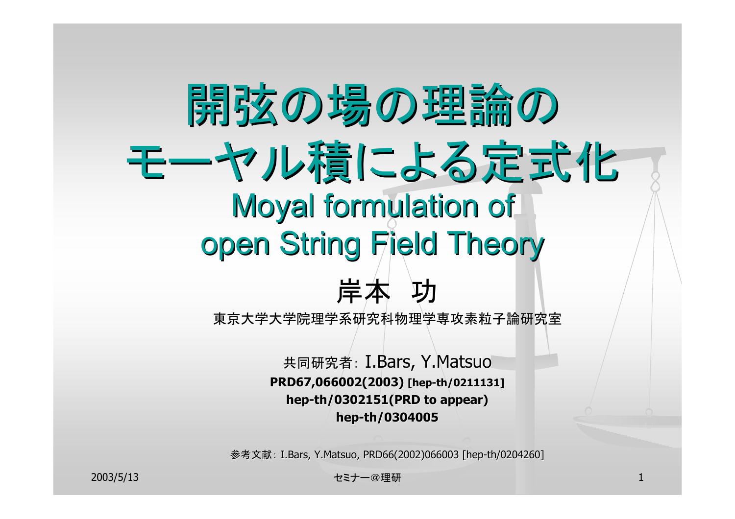# 開弦の場の理論の 開弦の場の理論の モーヤル積による定式化 Moyal formulation of open String Field Theory



東京大学大学院理学系研究科物理学専攻素粒子論研究室

共同研究者: I.Bars, Y.Matsuo **PRD67,066002(2003) PRD67,066002(2003) [hep-th/0211131] th/0211131] hep-th/0302151(PRD t 0302151(PRD to appear) appear) hep-th/0304005**

参考文献: I.Bars, Y.Matsuo, PRD66(2002)066003 [hep-th/0204260]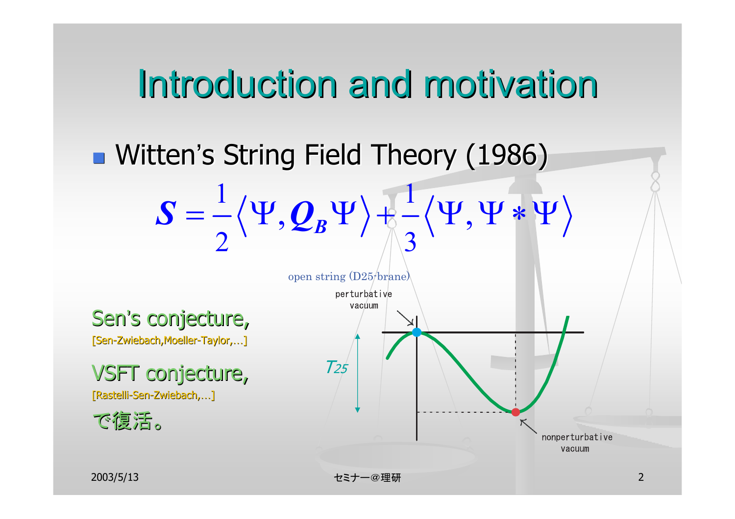### Introduction and motivation

### **u** Witten's String Field Theory (1986)

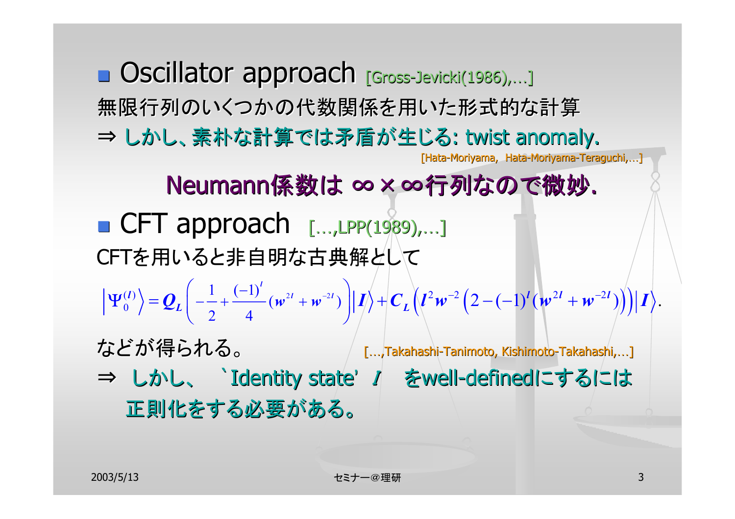■ Oscillator approach [Gross-Jevicki(1986),...] 無限行列のいくつかの代数関係を用いた形式的な計算 ⇒ しかし、素朴な計算では矛盾が生じる: twist anomaly. [Hata-Moriyama, Hata-Moriyama-Teraguchi,...] Neumann係数は ∞×∞行列なので微妙. ■ CFT approach [...,LPP(1989),...] CFTを用いると非自明な古典解として などが得られる。 インプ […,Takahashi-Tanimoto, Kishimoto-Takahashi,…] ⇒ しかし、 `Identity state' I をwell-definedにするには 正則化をする必要がある。  $\Psi_0^{(l)} = Q_L \left( -\frac{1}{2} + \frac{(-1)^l}{4} (w^{2l} + w^{2l}) \right) \left| J \right\rangle + C_L \left( l^2 w^{-2} \left( 2 - (-1)^l (w^{2l} + w^{-2l}) \right) \right) \left| I \right\rangle.$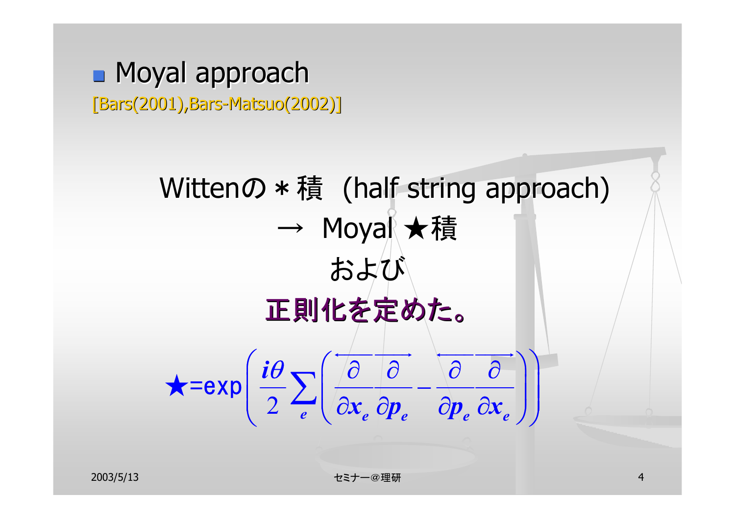#### **n** Moyal approach [Bars(2001),Bars-Matsuo(2002)]

Wittenの  $*$  積 (half string approach)  $\longrightarrow$  Moyal ★積 および 正則化を定めた。  $2 \left( \frac{\partial x}{\partial x_e} \partial p_e \right) \partial p_e \partial x_e$ *i*  $\mathbf{x}_{e}$  *cp<sub>e</sub> cy cx* θ  $\star$ =exp  $\left(\frac{i\theta}{2}\sum_{e}\left(\overline{\frac{\partial}{\partial x_{e}}\frac{\partial}{\partial p_{e}}}-\overline{\frac{\partial}{\partial p_{e}}\frac{\partial}{\partial x_{e}}}\right)\right)$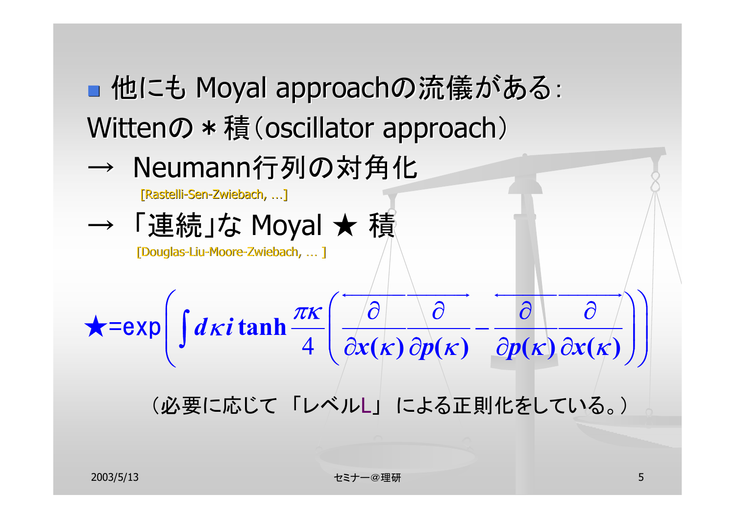■ 他にも Moyal approachの流儀がある: Wittenの  $*$  積 (oscillator approach)

4

 $\longrightarrow$ → Neumann行列の対角化

[Rastelli-Sen-Zwiebach, ...]

「連続」な Moyal ★ 積

 $k$ *i* tanh $\frac{\pi k}{2}$ 

[Douglas-Liu-Moore-Zwiebach, … ]

 $d\kappa i$ 

(必要に応じて 「レベルL」 による正則化をしている。)

 $\tanh\left(\frac{x}{4}\right)$   $\frac{1}{\partial x(k)}\frac{\partial p(k)}{\partial p(k)} - \frac{1}{\partial p(k)}\frac{\partial p(k)}{\partial x(k)}$ 

 $\mathcal{X}(K)$  *Op* $(K)$  *Op* $(K)$  *Ox* 

 $K$  |  $CD(K)$  |  $CD(K)$   $OX(K)$ 

 $\longrightarrow$ 

 $\star = \exp \left( \int dx i \tanh \frac{\pi k}{4} \left( \frac{\partial}{\partial x(k)} \frac{\partial}{\partial p(k)} - \frac{\partial}{\partial p(k)} \frac{\partial}{\partial x(k)} \right) \right)$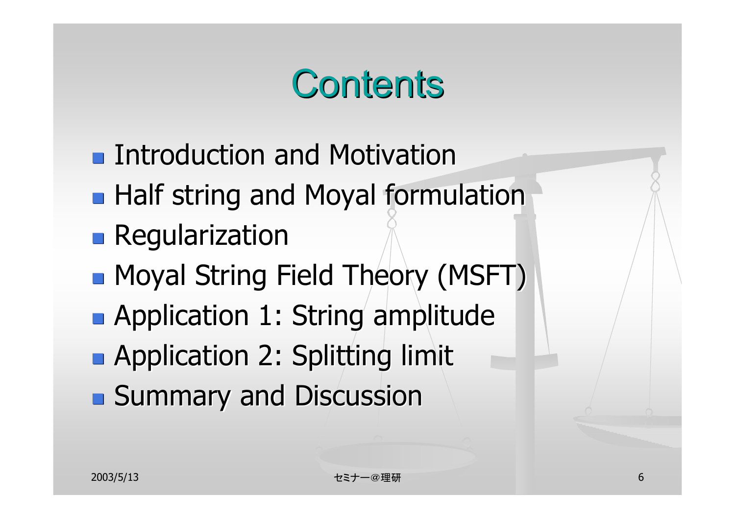### Contents

- **Introduction and Motivation**
- **Half string and Moyal formulation**
- **Regularization**
- **n** Moyal String Field Theory (MSFT)
- **Application 1: String amplitude**
- **Application 2: Splitting limit**
- **Bummary and Discussion**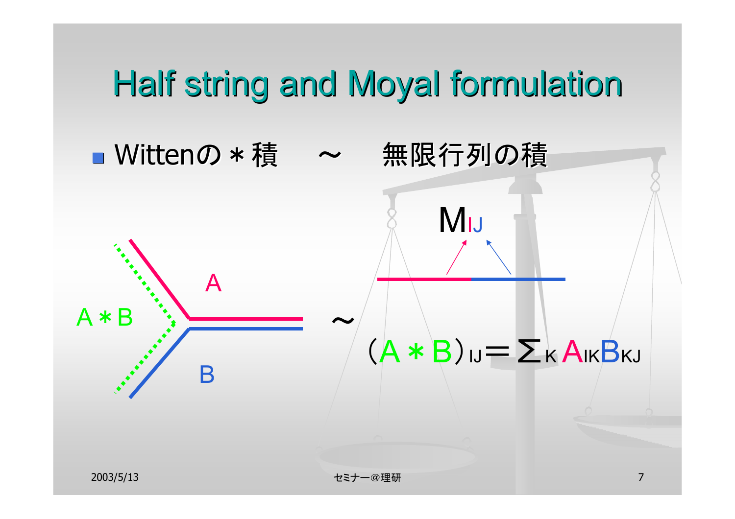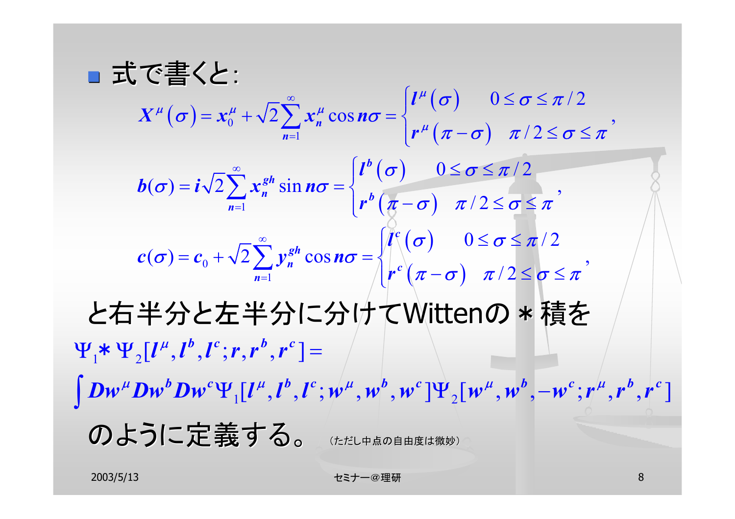■ 式で書くと: と右半分と左半分に分けてWittenの \* 積を のように定義する。 (ただし中点の自由度は微妙)  $\sigma(\sigma) = x_0^{\mu} + \sqrt{2} \sum_{n=1}^{\infty} x_n^{\mu} \cos n\sigma = \begin{cases} l^{\mu}(\sigma) \\ r^{\mu}(\pi - \sigma) \end{cases}$  $\big( \sigma \big)$  $\int_{1}^{h} h^{b} (\pi - \sigma)$  $\big( \sigma \big)$  $\int_{0}^{0} \int_{0}^{\infty} \frac{\sqrt{2}}{n} e^{i\theta} d\theta$   $\int_{0}^{\infty} \left( \pi - \sigma \right)$ 0  $\sqrt{2}$   $\frac{1}{n=1}$  $\overline{2} \sum_{n=1}^{\infty} x_n^{\mu} \cos n\sigma = \begin{cases} l^{\mu}(\sigma) & 0 \leq \sigma \leq \pi/2 \ l^{\mu}(\pi - \sigma) & \pi/2 \leq \sigma \leq \pi \end{cases}$  $\mathcal{L}(\boldsymbol{\sigma}) = \boldsymbol{i}\sqrt{2}\sum_{n=1}^{\infty}x_n^{gh}\sin n\boldsymbol{\sigma} = \begin{cases} \boldsymbol{l}^{\boldsymbol{\theta}}\left(\boldsymbol{\sigma}\right) & 0 \leq \boldsymbol{\sigma} \leq \pi/2 \\ \boldsymbol{r}^{\boldsymbol{b}}\left(\pi-\boldsymbol{\sigma}\right) & \pi/2 \leq \boldsymbol{\sigma} \leq \pi \end{cases},$  $\sigma(\sigma) = c_0 + \sqrt{2} \sum_{n=1}^{\infty} y_n^{gh} \cos n\sigma = \begin{cases} l^c(\sigma) & 0 \le \sigma \le \pi/2 \\ r^c(\pi - \sigma) & \pi/2 \le \sigma \le \pi \end{cases}$ *n n b gh*  $\sum_{n=1}^{\infty}$   $\binom{n}{n}$  **b** *c gh*  $\sum_{n=1}$   $\sum_{n=1}^{n}$   $\sum_{n=1}^{n}$   $\sum_{n=1}^{n}$   $\sum_{n=1}^{n}$ *l*  $X^{\mu}(\sigma) = x_0^{\mu} + \sqrt{2} Y x_{n}^{\mu} \cos n$ *r l*  $\bm{b}(\sigma) = \bm{i}\sqrt{2}$   $\sum x_i^{gn} \sin \bm{n}$ *r l*  $c(\sigma) = c_0 + \sqrt{2} \sum y_n^{\sigma} \cos \theta$ *r*  $\boldsymbol{\mu}$  $\mu$  |  $\rightarrow$  |  $\mu$  |  $\rightarrow$  |  $\rightarrow$   $\mu$  $\boldsymbol{\mu}$  $\sigma$  |  $0 \leq \sigma \leq \pi$  $\sigma$  =  $x_0^2$  +  $\sqrt{2}$  >  $x_0^2$  cos n $\sigma$  $\pi - \sigma$   $\pi / 2 \leq \sigma \leq \pi$  $\sigma$   $0 \leq \sigma \leq \pi$  $\sigma$ ) =  $\iota \sqrt{2}$  >  $x^{\circ}$  sin  $n\sigma$  $\pi-\sigma$ )  $\pi$  /  $\angle$   $\leq$   $\sigma$   $\leq$   $\pi$  $\sigma$   $0 \leq \sigma \leq \pi$  $\sigma$ ) =  $c_0$  +  $\sqrt{2}$  >  $v_{\alpha}^{s}$  cos n $\sigma$  $\pi-\sigma$   $\pi$  /  $2 \le \sigma \le \pi$ ∞ = ∞ = ∞ =  $= \mathbf{r}^{\mu} + \sqrt{2} \sum_{n=1}^{\infty} \mathbf{r}^{\mu} \cos n\sigma = \begin{cases} l^{\mu}(\sigma) & 0 \leq \sigma \leq l \end{cases}$  $+\sqrt{2}\sum_{n=1}^{\infty}x_n^{\mu}\cos n\sigma = \begin{cases} e^{i\theta} & \text{if } n=1,2 \leq \sigma \leq 1 \end{cases}$  $= i \sqrt{2} \sum_{k=1}^{\infty} r^{gh} \sin n\sigma = \begin{cases} l^{b}(\sigma) & 0 \leq \sigma \leq l \end{cases}$  $\sum_{n=1} x_n^{gh} \sin n\sigma = \begin{cases} r^b \left( \frac{\sigma}{\sigma} \right) & \pi/2 \leq \sigma \leq r^d \end{cases}$  $= c + \sqrt{2} \sum_{n=1}^{\infty} v^{gh} \cos n\sigma = \sqrt{\int_{0}^{c} (\sigma)} \qquad 0 \le \sigma \le$  $+\sqrt{2}\sum_{n=1} y_n^{gh} \cos n\sigma = \sqrt{\frac{1}{r} \left(\frac{\sigma}{\pi}-\sigma\right)} \frac{\sigma}{\pi/2} \leq \sigma \leq$  $\mathbf{\Psi}_1^{\phantom{\dag}} \ast \mathbf{\Psi}_2^{\phantom{\dag}} [ \bm{l}^{\mu}, \bm{l}^b, \bm{l}^c; \bm{r}, \bm{r}^b, \bm{r}^c ] =$  $\bm{Dw}^{\mu}\bm{Dw}^{\bm{b}}\bm{Dw}^{\bm{c}}\bm{\Psi}_{1}[\bm{l}^{\mu},\bm{l}^{\bm{b}},\bm{l}^{\bm{c}};\bm{w}^{\mu},\bm{w}^{\bm{b}},\bm{w}^{\bm{c}}\,]\bm{\Psi}_{2}[\bm{w}^{\mu},\bm{w}^{\bm{b}},\!-\!\bm{w}^{\bm{c}};\bm{r}^{\mu},\bm{r}^{\bm{b}},\bm{r}^{\bm{c}}]$  $\int {\bm D} {\bm w}^{\mu} {\bm D} {\bm w}^{\bm b} {\bm D} {\bm w}^{\bm c} {\bm \Psi}_1[{\bm l}^{\mu}, {\bm l}^{\bm b}, {\bm l}^{\bm c} ; {\bm w}^{\mu}, {\bm w}^{\bm b}, {\bm w}^{\bm c} ] {\bm \Psi}_2[{\bm w}^{\mu}, {\bm w}^{\bm b},$  $\mu^{\mu}Dw^{\nu}Dw^c\Psi_{1}[l^{\mu},l^{\nu},l^{c};w^{\mu},w^{\nu},w^c]\Psi_{2}[w^{\mu},w^{\nu},-w^c; r^{\mu},r^{\nu},r^c]$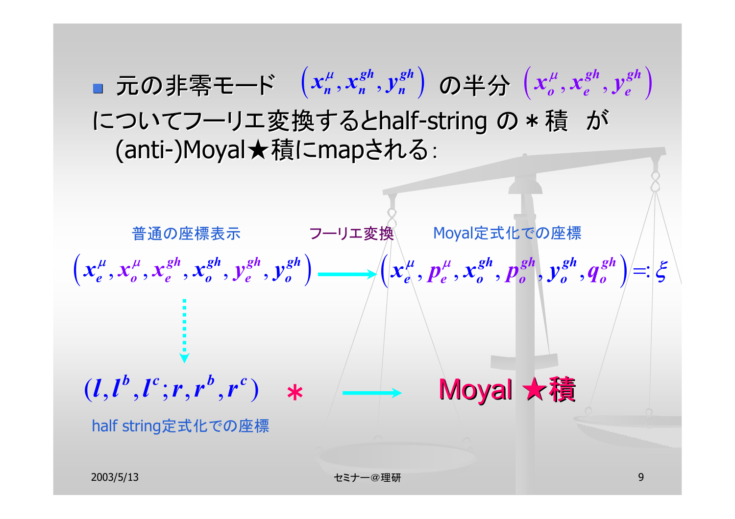■ 元の非零モード  $(x_n^\mu, x_n^{sh}, y_n^{sh})$  の半分  $\left(x_o^\mu, x_e^{sh}, y_e^{sh}\right)$ についてフーリエ変換するとhalf-string の \*積 が (anti-)Moyal★積にmapされる:



2003/5/13 セミナー@理研 9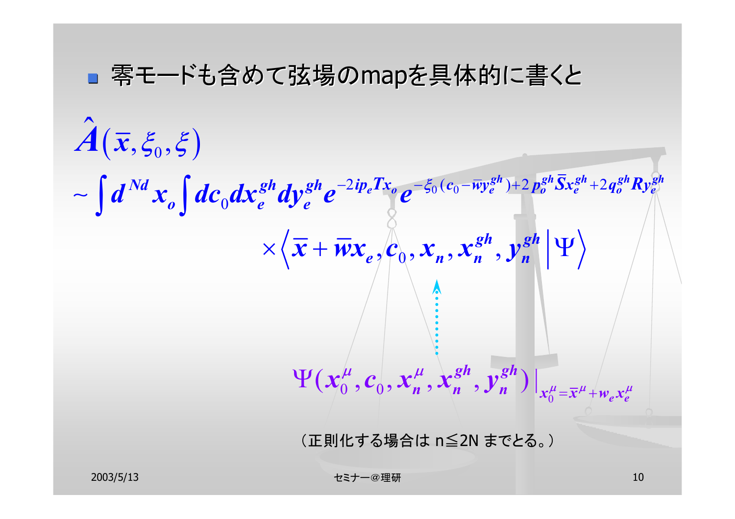#### ■零モードも含めて弦場のmapを具体的に書くと

$$
\hat{A}(\bar{x}, \xi_0, \xi)
$$
\n
$$
\sim \int d^{Nd}x_o \int dc_0 dx_e^{gh} dy_e^{gh} e^{-2ip_eTx_o} e^{-\xi_0(c_0 - \bar{w}y_e^{gh}) + 2p_o^{gh} \bar{S}x_e^{gh} + 2q_o^{gh}Ry_e^{gh}}
$$
\n
$$
\times \langle \bar{x} + \bar{w}x_e, c_0, x_n, x_n^{gh}, y_n^{gh} | \Psi \rangle
$$
\n
$$
\downarrow
$$
\n
$$
\Psi(x_0^{\mu}, c_0, x_n^{\mu}, x_n^{gh}, y_n^{gh})|_{x_0^{\mu} = \bar{x}^{\mu} + w_e x_e^{\mu}}
$$
\n
$$
\times \text{EVALUATE:}
$$
\n
$$
\text{EVALUATE:}
$$

2003/5/13 セミナー@理研 10 to 10 to 10 to 10 to 10 to 10 to 10 to 10 to 10 to 10 to 10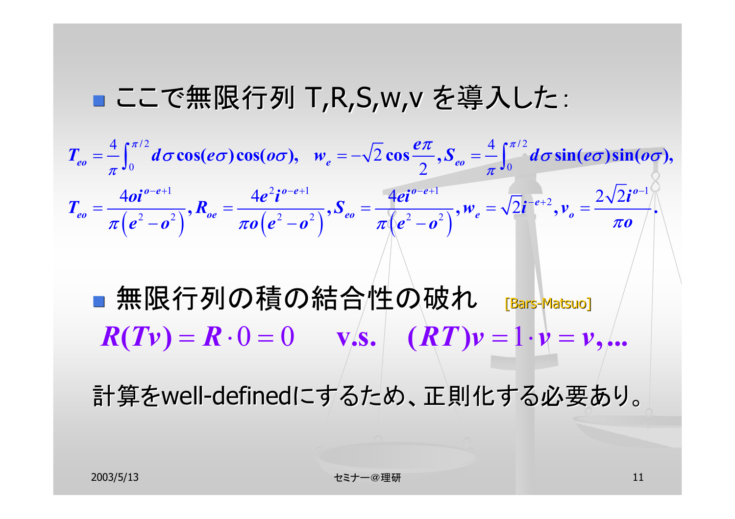#### ■ ここで無限行列 T,R,S,w,v を導入した:



■無限行列の積の結合性の破れ [Bars-Matsuo]  $R(Tv) = R \cdot 0 = 0$  **v.s.**  $(RT)v = 1 \cdot v = v$ ,...

計算をwell-definedにするため、正則化する必要あり。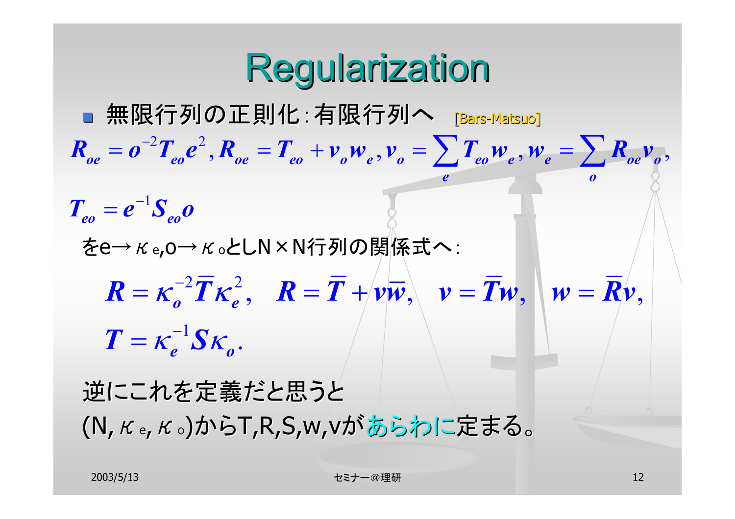## **Regularization**

■無限行列の正則化:有限行列へ [Bars-Matsuo] をe→κe,o→κoとしN×N行列の関係式へ: 行列の関係式へ: 逆にこれを定義だと思うと  $2\pi$   $2$ 1  $R_{oe} = o^{-2} T_{eo} e^{2}$ ,  $R_{oe} = T_{eo} + v_{o} w_{e}$ ,  $v_{o} = \sum T_{eo} w_{e}$ ,  $w_{e} = \sum R_{oe} v_{o}$ , *e o* $T_{eo} = e^{-1}S_{eo}$  $\sum T_{eo} w_e, w_e = \sum$  $2\overline{P}$   $2$ 1  $\theta$  , if  $\theta$  , if  $\theta$  ,  $\theta$  ,  $\theta$  ,  $\theta$  ,  $\theta$  ,  $\theta$  ,  $\theta$  ,  $\theta$  ,  $\theta$  ,  $\theta$  ,  $\theta$  ,  $\theta$  ,  $\theta$  ,  $\theta$  ,  $\theta$  ,  $\theta$  ,  $\theta$  ,  $\theta$  ,  $\theta$  ,  $\theta$  ,  $\theta$  ,  $\theta$  ,  $\theta$  ,  $\theta$  ,  $\theta$  ,  $\theta$  ,  $\theta$  ,  $\theta$  ,  $\theta$  . *e o* $R = \kappa^{-2} T \kappa^2$ ,  $R = T + \nu \overline{\nu}$ ,  $\nu = T \nu$ ,  $w = R \nu$  $T = \kappa^{-1} S$  $= \kappa^{\text{-1}} S \kappa$ 

(N,<sup>κ</sup>e,<sup>κ</sup>o)からT,R,S,w,vがあらわに定まる。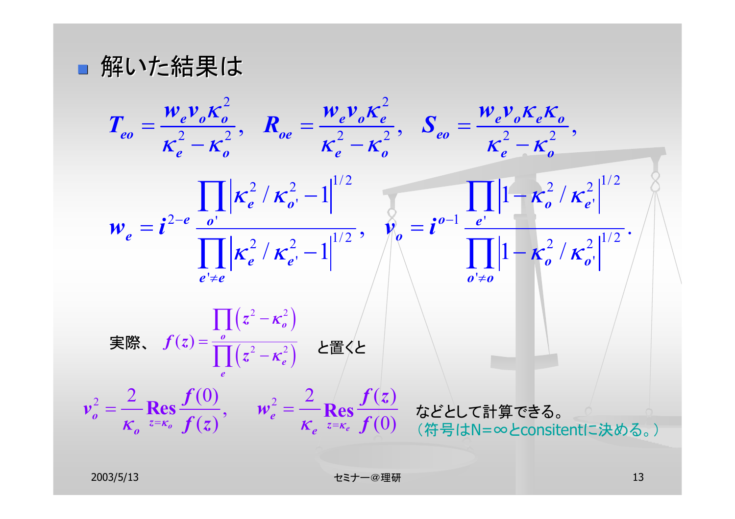■ 解いた結果は

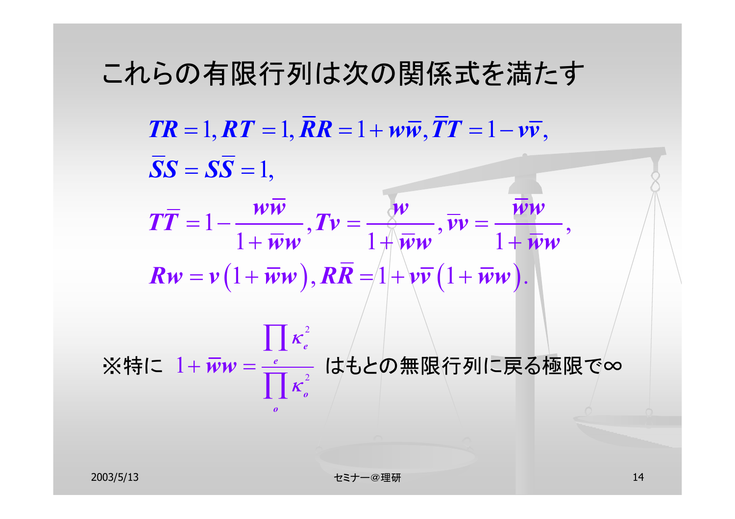#### これらの有限行列は次の関係式を満たす

 $\boldsymbol{TR} = 1, \boldsymbol{RT} = 1, \boldsymbol{RR} = 1 + \boldsymbol{w}\boldsymbol{\overline{w}}, \boldsymbol{TT} = 1 - \boldsymbol{v}\boldsymbol{\overline{v}},$  $SS = SS = 1$ 

 $\bm{R}\bm{w}=\bm{v}\big(1+\overline{\bm{w}}\bm{w}\big), \bm{R}\overline{\bm{R}}=\stackrel{\cdot}{\left[1+\bm{\mathcal{v}}\overline{\bm{v}}\left(1+\overline{\bm{w}}\bm{w}\right)\right]}.$  $1-\frac{\ldots}{1+\overline{\boldsymbol{\mathcal{W}}}\boldsymbol{w}},$   $\boldsymbol{T}\boldsymbol{\mathcal{v}}=\frac{\boldsymbol{\mathcal{X}}\boldsymbol{\mathcal{w}}}{1+\overline{\boldsymbol{\mathcal{W}}}\boldsymbol{w}},$   $\overline{\boldsymbol{\mathcal{v}}}\boldsymbol{\mathcal{v}}=\frac{\boldsymbol{\mathcal{W}}\boldsymbol{\mathcal{w}}}{1+\overline{\boldsymbol{\mathcal{W}}}\boldsymbol{w}},$  $T\overline{T} = 1 - \frac{\mathcal{W}\mathcal{W}}{T}$ ,  $\overline{T}\mathcal{V} = \frac{\mathcal{W}\mathcal{W}}{T}$ ,  $\overline{\mathcal{V}}\mathcal{V} = \frac{\mathcal{W}\mathcal{W}}{T}$  $W$ <sup>*ww*</sup>  $I + WW$ = <sup>−</sup> <sup>=</sup> <sup>=</sup>  $+$   $\mathcal{W}\mathcal{W}$   $+$   $\mathcal{W}\mathcal{W}$   $+$   $+$ 2  $\prod$   $\kappa_e^2$ 

2 1  $\bm{w}\bm{w} = \frac{-e}{\sqrt{2}}$ *oo*κ※特に  $1 + \overline{w} w = \frac{e}{\prod \kappa_o^2}$  はもとの無限行列に戻る極限で∞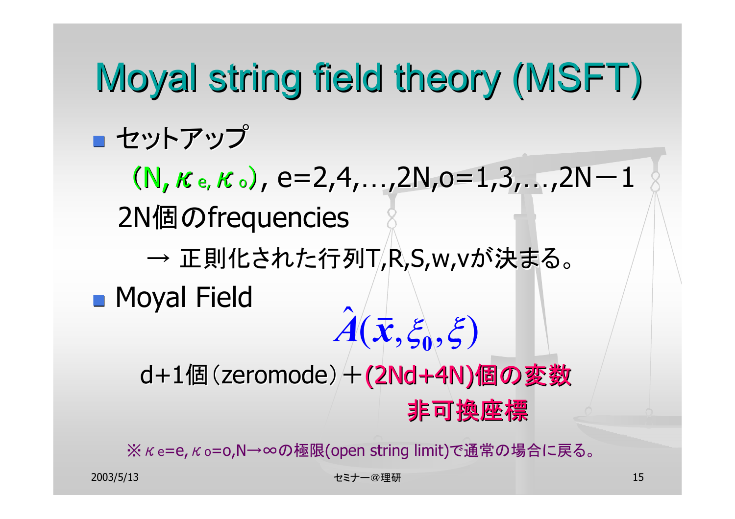### Moyal string field theory (MSFT) ■ セットアップ  $(N, \kappa e, \kappa o)$ , e=2,4,...,2N,o=1,3,...,2N-1 2N個のfrequencies  $\longrightarrow$ → 正則化された行列T,R,S,w,vが決まる。 **n** Moyal Field d+1個(zeromode)+(2Nd+4N)個の変数 非可換座標 非可換座標 ˆ $A(\bar{\mathbf{x}}, \xi_0, \xi)$

※ K e=e, K o=0,N→∞の極限(open string limit)で通常の場合に戻る。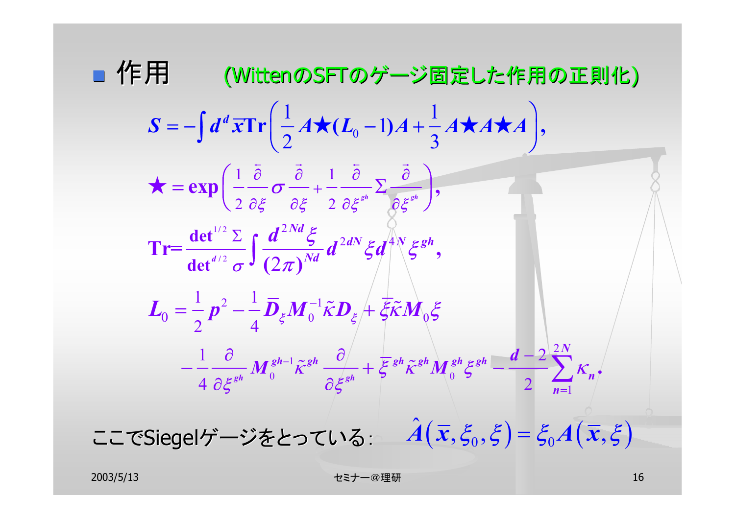\n
$$
\mathbf{F} = \int d^d x \mathbf{Tr} \left( \frac{1}{2} A \star (L_0 - 1) A + \frac{1}{3} A \star A \star A \right),
$$
\n
$$
\star = \exp \left( \frac{1}{2} \frac{\partial}{\partial \xi} \sigma \frac{\partial}{\partial \xi} + \frac{1}{2} \frac{\partial}{\partial \xi} \sigma \frac{\partial}{\partial \xi^*} \right),
$$
\n
$$
\mathbf{Tr} = \frac{\det^{1/2} \Sigma}{\det^{d/2} \sigma} \int \frac{d^{2Nd} \xi}{(2\pi)^{Nd}} d^{2dN} \xi d^{4N} \xi^{gh},
$$
\n
$$
L_0 = \frac{1}{2} p^2 - \frac{1}{4} \overline{D}_{\xi} M_0^{-1} \tilde{\kappa} D_{\xi} + \xi \tilde{\kappa} M_0 \xi
$$
\n
$$
- \frac{1}{4} \frac{\partial}{\partial \xi^{gh}} M_0^{gh-1} \tilde{\kappa}^{gh} \frac{\partial}{\partial \xi^{gh}} + \xi^{gh} \tilde{\kappa}^{gh} M_0^{gh} \xi^{gh} - \frac{d-2}{2} \sum_{n=1}^{2N} K_n.
$$
\n
$$
\text{L} = \text{CSiegel}\mathcal{F} - \text{V\&t > 0 \quad \text{L} = \text{C}
$$
\n
$$
\mathbf{F} = \frac{\partial}{\partial \xi^{gh}} \mathbf{F} = \frac{\partial}{\partial \xi^{gh}} \mathbf{F} = \frac{\partial}{\partial \xi^{gh}} \mathbf{F} = \frac{\partial}{\partial \xi^{gh}} \mathbf{F} = \frac{\partial}{\partial \xi^{gh}} \mathbf{F} = \frac{\partial}{\partial \xi^{gh}} \mathbf{F} = \frac{\partial}{\partial \xi^{gh}} \mathbf{F} = \frac{\partial}{\partial \xi^{gh}} \mathbf{F} = \frac{\partial}{\partial \xi^{gh}} \mathbf{F} = \frac{\partial}{\partial \xi^{gh}} \mathbf{F} = \frac{\partial}{\partial \xi^{gh}} \mathbf{F} = \frac{\partial}{\partial \xi^{gh}} \mathbf{F} = \frac{\partial}{\partial \xi^{gh}} \mathbf{F} = \frac{\partial}{\partial \xi^{gh}} \mathbf{F} = \frac{\partial}{\partial \xi^{gh}} \mathbf{F} = \frac{\
$$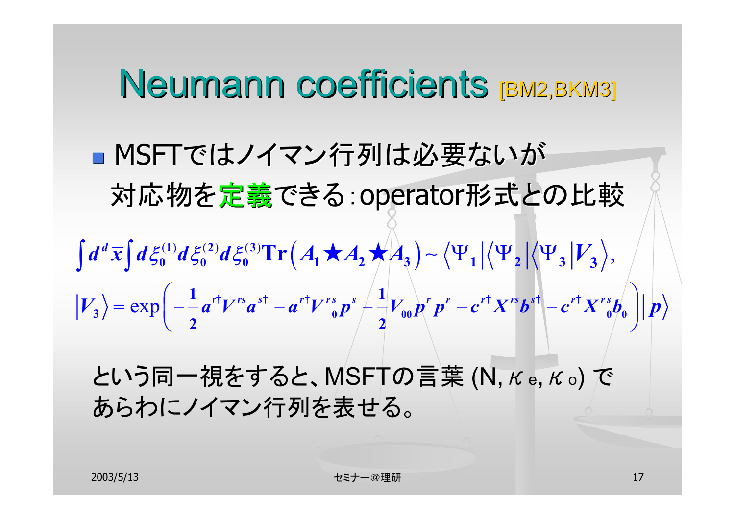### Neumann coefficients [BM2,BKM3]

■ MSFTではノイマン行列は必要ないが 対応物を定義できる: operator形式との比較  $\langle \Psi_1 | \langle \Psi_2 | \Psi_3^{(2)} d \xi_0^{(3)} \text{Tr} (A_1 \star A_2 \star A_3) - \langle \Psi_1 | \langle \Psi_2 | \langle \Psi_3 | V_3 \rangle,$ exp **<sup>0</sup> <sup>00</sup> 0 0 3 0 0 0 1 2 3 1 2 3 3** 1  $r + \frac{1}{2}$  **p**  $r + \frac{1}{2}$  **p**  $r + \frac{1}{2}$  **p**  $r + \frac{1}{2}$  **p**  $r + \frac{1}{2}$  **p**  $r + \frac{1}{2}$  **p**  $r + \frac{1}{2}$  **p**  $r + \frac{1}{2}$  **p**  $r + \frac{1}{2}$  **p**  $r + \frac{1}{2}$  **p**  $r + \frac{1}{2}$  **p**  $r + \frac{1}{2}$  **p**  $r + \frac{1}{2}$  **p**  $r + \frac{1}{2}$ **2 2Tr**  $|V_{3}\rangle = \exp \left[-\frac{1}{2}a^{r}V^{rs}a^{sr} - a^{r}V^{rs}{}_{0}p^{s} + \frac{1}{2}V_{00}p^{r}p^{r} - c^{r}X^{rs}b^{s}\right] - c^{r}X^{rs}b^{r}{}_{0} \left[\frac{1}{2}p^{r}A^{rs}b^{s} + \frac{1}{2}q^{r}A^{rs}b^{r}A^{rs} + \frac{1}{2}q^{r}A^{rs}b^{r}A^{rs} + \frac{1}{2}q^{r}A^{rs}b^{r}A^{rs} + \frac{1}{2}q^{r}A^{rs}b^{r}A^{rs} + \$  $\int d^d\bar{x} \int d\xi_0^{(1)} d\xi_0^{(2)} d\xi_0^{(3)} \text{Tr}\left(A_1 \star A_2 \star A_3\right) \sim \left\langle \Psi_1 \left|\left\langle \Psi_2 \right|\left\langle \Psi_3\right| V_3\right|\right.$ −−u γ u −u γ <sub>e</sub> p −−γ<sub>ee</sub> p p − c ∧ p l −  $=\exp\left(-\frac{1}{2}a^{rt}V^{rs}a^{st}-a^{rt}V^{rs}n^{s}\left(\frac{1}{2}V\right)n^{r}n^{r}-c^{rt}X^{rs}b^{st}\right)$  $r=\exp\Big(-\frac{1}{2}a^{r\dagger}V^{rs}a^{s\dagger}-a^{r\dagger}V^{rs}_{~~0}p^{s} \Big/\frac{1}{2}V_{00}p^{r}p^{r}-c^{r\dagger}X^{rs}b^{s\dagger} \Big|-c^{r\dagger}X^{rs}_{~~0}\Big|^{2}\Big).$ 

という同一視をすると、MSFTの言葉 (N,<sup>κ</sup>e,<sup>κ</sup>o) で あらわにノイマン行列を表せる。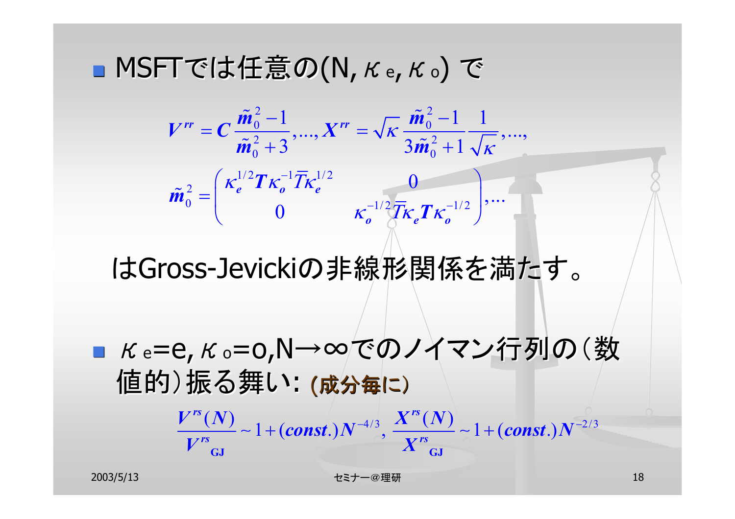■ MSFTでは任意の(N, K e, K o) で

$$
V^{rr} = C \frac{\tilde{m}_0^2 - 1}{\tilde{m}_0^2 + 3}, ..., X^{rr} = \sqrt{K} \frac{\tilde{m}_0^2 - 1}{3\tilde{m}_0^2 + 1} \frac{1}{\sqrt{K}}, ...,
$$

$$
\tilde{m}_0^2 = \begin{pmatrix} \kappa_e^{1/2} T \kappa_o^{-1} \overline{T} \kappa_e^{1/2} & 0 \\ 0 & \kappa_o^{-1/2} \overline{T} \kappa_e T \kappa_o^{-1/2} \end{pmatrix}, ...
$$

はGross-Jevickiの非線形関係を満たす。

■ Ke=e, Ko=o,N→∞でのノイマン行列の(数 値的)振る舞い: (成分毎に)

$$
\frac{V^{rs}(N)}{V^{rs}} \sim 1 + (const.)N^{-4/3}, \frac{X^{rs}(N)}{X^{rs}} \sim 1 + (const.)N^{-2/3}
$$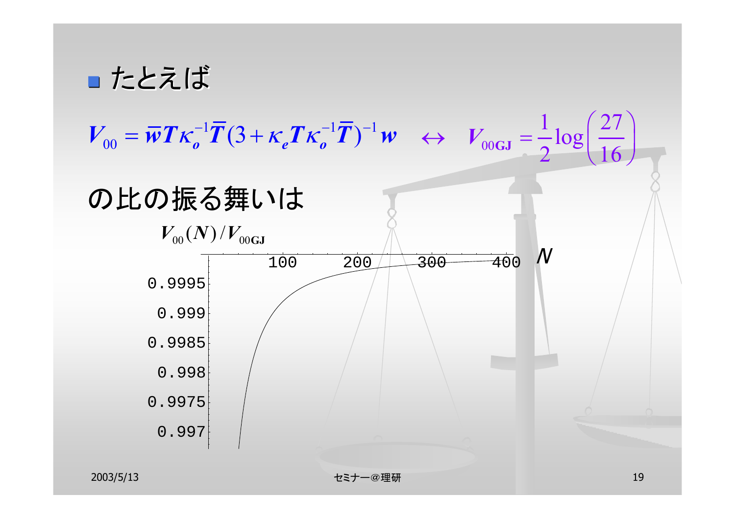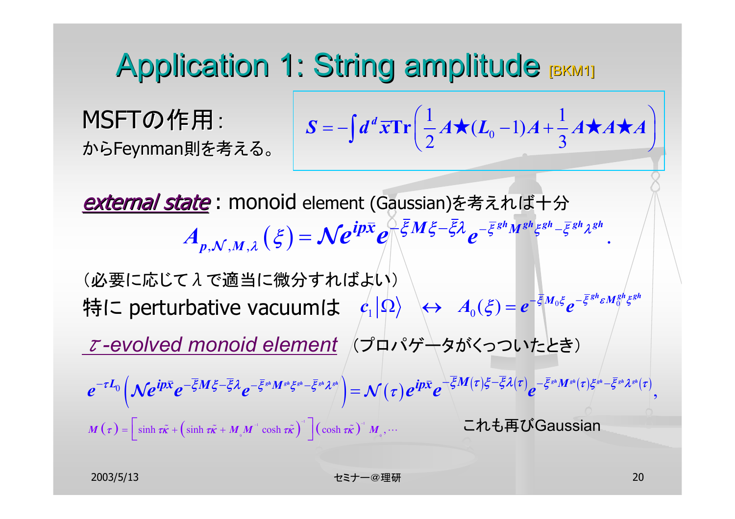### Application 1: String amplitude [BKM1]

MSFTの作用: からFeynman Feynman則を考える。

$$
S = -\int d^d x \mathbf{Tr} \left( \frac{1}{2} A \star (L_0 - 1) A + \frac{1}{3} A \star A \star A \right)
$$

external state : monoid element (Gaussian)を考えれば十分  $A_{p,\mathcal{N},M,\lambda}\left(\xi\right)=\mathcal{N}e^{ip\bar{x}}e^{\int\limits_{0}^{\bar{\xi}}M\xi-\bar{\xi}\lambda}e^{-\bar{\xi}^{gh}M^{gh}\xi^{gh}-\bar{\xi}^{gh}\lambda^{gh}}$ 

(必要に応じてんで適当に微分すればよい) 特に perturbative vacuumは  $\ket{c_1|\Omega}\iff A_{_0}(\xi) = e^{-\bar{\xi}M_{_0}\xi}e^{-\bar{\xi}^{gh}\varepsilon M_{_0}^{gh}\xi^{gh}}$ τ*-evolved monoid element* (プロパゲータがくっついたとき)  $\left(\mathcal{N}e^{ip\bar{x}}e^{-\overline{\xi}M\xi-\overline{\xi}\lambda}e^{-\overline{\xi}^{_{sh}}M^{_{sh}}\xi^{_{sh}}-\overline{\xi}^{_{sh}}\lambda^{_{sh}}}\right)\hspace{-0.3cm}=\hspace{-0.3cm}\mathcal{N}(\tau)e^{ip\bar{x}}e^{-\overline{\xi}M(\tau)\xi-\overline{\xi}\lambda(\tau)}e^{-\overline{\xi}^{_{sh}}M^{_{sh}}(\tau)\xi^{_{sh}}-\overline{\xi}^{_{sh}}\lambda^{_{sh}}(\tau)}$  $M(\tau) = \left[ \sinh \tau \tilde{\kappa} + \left( \sinh \tau \tilde{\kappa} + M_{\phi} M^{\text{-1}} \cosh \tau \tilde{\kappa} \right)^{\text{-1}} \right] \left( \cosh \tau \tilde{\kappa} \right)^{\text{-1}} M_{\phi},$  $\mathcal{O}\left(\mathcal{N}e^{\imath p\lambda}e^{-\varsigma M\varsigma-\varsigma M}e^{-\varsigma^2 M^2\varsigma^2-\varsigma^2 M^2}\right)=\mathcal{N}(\tau)e^{\imath p\lambda}e^{-\varsigma^2 M(\tau)\varsigma^2-\varsigma^2 M^2(\tau)\varsigma^2}\right).$  $e^{-\tau L_0}\left(\mathcal{N}e^{ip\bar{x}}e^{-\overline{\xi}M\xi-\overline{\xi}\lambda}e^{-\overline{\xi}^{_{sh}}M^{_{sh}}\xi^{_{sh}}-\overline{\xi}^{_{sh}}\lambda^{_{sh}}}\right)=\mathcal{N}(\tau)e^{ip\bar{x}}e^{+\xi M(\tau)\xi-\xi\lambda(\tau)}e^{-\overline{\xi}^{_{sh}}M^{_{sh}}(\tau)\xi^{_{sh}}-\overline{\xi}^{_{sh}}\lambda^{_{sh}}(\tau)}$  $\mathcal{L}^{-\tau L_0}\left(\mathcal{N}e^{\imath px}e^{-\xi M\,\xi-\xi\lambda}e^{-\xi^{sh}M^{sh}\xi^{sh}-\xi^{sh}\lambda^{sh}}\right)=\mathcal{N}(\tau)e^{\imath px}e^{-\varsigma\mathcal{N}(\tau)\varsigma-\varsigma\lambda(\tau)}e^{-\varsigma\mathcal{N}(\tau)\varsigma^{sh}-\varsigma\lambda^{sh}(\tau)\varsigma^{sh}-\varsigma\lambda^{sh}(\tau)\varsigma^{sh}-\varsigma\lambda^{sh}(\tau)\varsigma^{sh}-\varsigma\lambda^{sh}(\tau)\varsigma^{sh}-\varsigma\lambda^{sh}(\tau)\varsigma^{sh}-\varsigma\lambda^{sh}(\tau)\varsigma^{sh$  $\tilde{\epsilon}$  +  $(\sinh \tau \tilde{\kappa} + M M^{\dagger} \cosh \tau \tilde{\kappa})$   $(\cosh \tau \tilde{\kappa})$   $M \cdots$ これも再びGaussian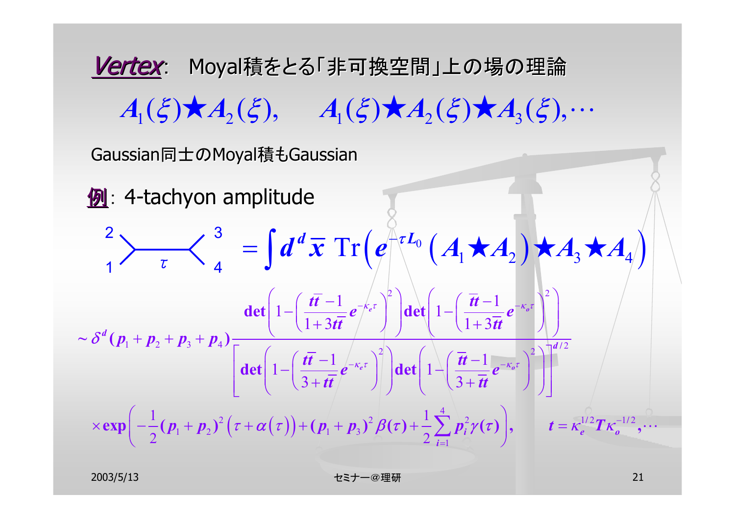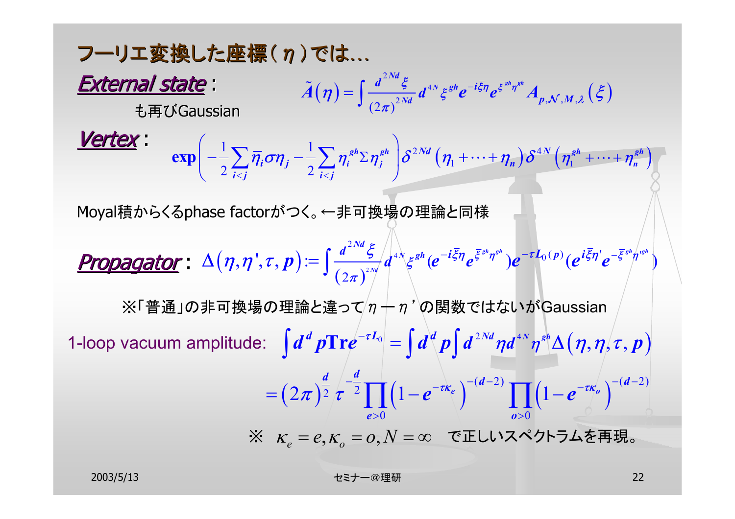フーリエ変換した座標(n)では… External state : も再びGaussian Vertex : Moyal積からくるphase factorがつく。←非可換場の理論と同様 propagator :  $\mathcal{L}(\boldsymbol{\eta}) = \big(\frac{a}{\sqrt{2N}d} \frac{b}{\epsilon^2} \int d^{4N} \xi^{gh} e^{-i \xi \boldsymbol{\eta}} e^{\xi^{gm} \boldsymbol{\eta}^{gh}} A_{\boldsymbol{p},\mathcal{N},M,\lambda} \left(\xi \right) \big)$ 2  $(2\pi)^{2Nd}$  ,  $\vec{p}$  ,  $\vec{p}$  ,  $\vec{p}$  ,  $\vec{p}$  ,  $\vec{p}$  ,  $\vec{p}$  ,  $\vec{p}$  ,  $\vec{p}$  ,  $\vec{p}$  ,  $\vec{p}$  ,  $\vec{p}$  ,  $\vec{p}$  ,  $\vec{p}$  ,  $\vec{p}$  ,  $\vec{p}$  ,  $\vec{p}$  ,  $\vec{p}$  ,  $\vec{p}$  ,  $\vec{p}$  ,  $\vec{p}$  ,  $\vec{p}$  $N$   $ggh$   $-i\overline{\xi}\eta$   $g\overline{\xi}^{gh}\eta^{gh}$  $\sum_{j=1}^{Nd}$ *Nd*  ${^{i \xi \eta}}{e^{\xi \frac{ s^n \eta s^n}{\rho}}}{A_{p,{\cal N},M}}$ *d* $\widetilde{A}(\eta)=\int \frac{d^{2N\alpha}\xi}{\sqrt{2\pi\kappa}}d^{4N}\xi^{gh}e^{-i\overline{\xi}\eta}e^{\overline{\xi}^{gh}\eta^{gh}}A_{p,\mathcal{N},M,\lambda}$  $\widetilde{A}(\eta)=\int\frac{d-\xi}{\left(2\pi\right)^{2Nd}}d^{_{AN}}\xi^{gh}e^{-i\overline{\xi}\eta}e^{\overline{\xi}^{gh}\eta^{gh}}A_{p,\mathcal{N},M,\lambda}\left(\xi\right)$  $\exp\left(-\frac{1}{2}\sum_{i$  $\Delta(\eta, \eta^{\prime}, \tau, p) = \int_{\frac{d}{2\pi} \pi^2}^{\frac{d}{2\pi} \sigma^2} d^4$ 2  $0^{\eta}$  (p) ( $\sigma$  $i \xi \eta'$   $\sigma$  - $\xi^{gh} \eta'$ 2 $\mathbf{y}(\boldsymbol{\eta},\boldsymbol{\tau},\boldsymbol{p}) := \Big(\frac{a}{\sqrt{2\pi\kappa}}\frac{c}{2\pi\kappa} \int_{0}^{4\pi} d^{4N}\xi^{gh} (\boldsymbol{e}^{-i\xi\boldsymbol{\eta}}\boldsymbol{e}^{\overline{\xi}^{gh}\boldsymbol{\eta}^{gh}}) \boldsymbol{e}^{-\tau\boldsymbol{L}_{0}(\boldsymbol{p})} (\boldsymbol{e}^{i\xi\boldsymbol{\eta}^{h}}\boldsymbol{e}^{-\overline{\xi}^{gh}\boldsymbol{\eta}^{gh}}).$  $\bm{p} := \big[\frac{d^{2Nd}\bm{\xi}}{d^{4d}\bm{\xi}}d^{4d}\bm{\xi}^{gh}(\bm{e}^{-i\bm{\bar{\xi}}\bm{\eta}}\bm{e}^{\bm{\bar{\xi}}^{gh}\eta^{sh}})\bm{e}^{-\tau\bm{L}_0(\bm{p})}(\bm{e}^{i\bm{\bar{\xi}}\bm{\eta}'}\bm{e}^{-\bm{\bar{\xi}}^{gh}\bm{\eta}'}\big]$  $\Delta\big(\bm{\eta},\bm{\eta}^{\texttt{'}},\bm{\tau},\bm{p}\big)\!\coloneqq\!\int\!\frac{d^{\text{2.186}}\xi}{\left(2\pi\right)^{\text{2.86}}}\!\!d^{\text{4}\lambda}\!\xi^{\text{gh}}(e^{-i\bar{\xi}\bm{\eta}}e^{\bar{\xi}^{\text{gh}}\bm{\eta}^{\text{gh}}})e^{-\tau L_0(p)}(e^{i\bar{\xi}\bm{\eta}^{\text{'}}}e^{-i\bar{\xi}\bm{\eta}^{\text{'}}}).$ ※「普通」の非可換場の理論と違って $/\eta + \eta'$ の関数ではないがGaussian 1-loop vacuum amplitude:  $\int d^d\, p \text{Tr} e^{-\tau L_0} = \int d^d\, p \Bigl[ \, d^{2Nd}\eta d^{4N} \eta^{sl} \Delta\bigl(\eta,\eta/\tau,p\bigr)$  $(2\pi)^{\frac{a}{2}} \tau^{-\frac{b}{2}} \prod (1-e^{-\tau k_e})^{-(d-2)} \prod (1-e^{-\tau k_e})^{-(d-2)}$  $\mathbf{0}$  and  $\mathbf{0}$  and  $\mathbf{0}$ , , , ,  $d^d p \mathrm{Tr} e^{-\tau L_0} = \int d^d p \int d^{2Nd} \eta d^{4N} \eta^{sh} \Delta(\eta, \eta, \tau, p)$  $\frac{d}{2} \left( \frac{-d}{\tau} \right)^{-1} \left( 1 - e^{-\tau k_e} \right)^{-(d-2)} \prod_{\ell=1}^{\infty} \left( 1 - e^{-\tau k_e} \right)^{-(d-2)}$ *e o* $\pi$   $\sqrt{2} \tau$   $\sqrt{2}$   $(1-e^{-\tau k_e})$   $(1-e^{-\tau k_e})$  $=(2\pi)^{\frac{1}{2}}\tau^{\frac{1}{2}}\prod (1-e^{-\tau k_e})^{-(u-2)}\prod (1-e^{-\tau k_o})^{-(u-1)}$  $>0$  and  $\alpha$  $\int d^d p \text{Tr} e^{-\tau L_0} = \int d^d p \int$  $\prod \left(1-e^{-\tau K_e}\right)^{-(a-2)}\prod$ **Tr**  $\begin{split} \partial K_{\epsilon}^{\phantom{\dag}}&=e, \kappa_{_o}^{\phantom{\dag}}=o, N=\infty \quad \texttt{C} \ \texttt{I} \ \texttt{C} \cup \mathcal{C} \times \mathcal{C} \ \texttt{C} \ \texttt{C} \cup \mathcal{C} \end{split}$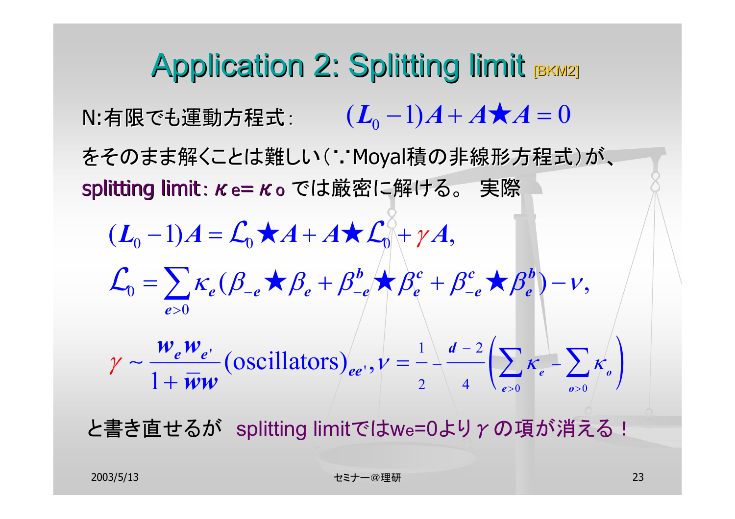Application 2: Splitting limit [BKM2] N:有限でも運動方程式: をそのまま解くことは難しい(∵Moyal積の非線形方程式)が、 splitting limit:  $κ$ e= κo では厳密に解ける。 実際  $(L_0 - 1)A + A \star A = 0$  $\left( \sum_{e>0} \kappa_e - \sum_{o>0} \kappa_o \right)$  $(L_0-1)A = \mathcal{L}_0 \star A + A \star \mathcal{L}_0 + \gamma A,$  $\beta_0 = \sum K_e (\beta_{-e} + \beta_e^b + \beta_{-e}^b + \beta_e^c + \beta_{-e}^c + \beta_e^b) - \nu,$ 0-(oscillators)<sub>ee</sub>  $1 \quad d-2$  $\frac{\partial^2 u}{\partial x^2} = \frac{\partial^2 u}{\partial y^2}$  (oscillators)  $e^{i\theta}$ ,  $v = \frac{1}{2} + \frac{\pi^2}{4}$   $\left( \sum_{e>0}^{\infty} K_e - \sum_{e>0}^{\infty} K_e \right)$ *e*  $\sqrt{P} - e$   $\sqrt{P} e$   $P - e$   $\sqrt{P} e$   $P - e$   $\sqrt{P} e$ *ee e ee*  $W_a$   $W_{a}$   $\qquad \qquad$   $\qquad \qquad$   $\qquad \qquad$   $\qquad$   $\qquad$   $\qquad$   $\qquad$   $\qquad$   $\qquad$   $\qquad$   $\qquad$   $\qquad$   $\qquad$   $\qquad$   $\qquad$   $\qquad$   $\qquad$   $\qquad$   $\qquad$   $\qquad$   $\qquad$   $\qquad$   $\qquad$   $\qquad$   $\qquad$   $\qquad$   $\qquad$   $\qquad$   $\qquad$   $\qquad$   $\qquad$   $\qquad$   $\qquad$   $\$ *ww* > > > $=-\frac{u-z}{\sqrt{K}}$  $=$   $\left\{\kappa \left(\beta \times \beta + \beta^{\circ} \times \beta + \beta^{\circ} + \beta^{\circ} \times \beta^{\circ}\right)\right\}$  $\frac{\partial^2 e^{\prime \prime} e^{\prime}}{\partial \tau}$  (oscillators)  $_{ee'}$ ,  $v = \frac{1}{2} - \frac{u - 2}{4} \left( \sum_{e > 0} \kappa_e - \sum_{e > 0}$  $\mathcal{L}_{0} = \sum \kappa_{e} (\beta_{-e} \star \beta_{-e}^{+} + \beta_{-e}^{b} \star \beta_{e}^{c} + \beta_{-e}^{c} \star \beta_{e}^{b}) - \nu$  $\gamma \sim \frac{V}{I}$  (oscillators)<sub>ee'</sub>,  $V = \sim$   $\sim$   $\sim$   $K_e$   $\sim$   $\sim$   $K_e$ 

と書き直せるが splitting limitではwe=0よりγの項が消える!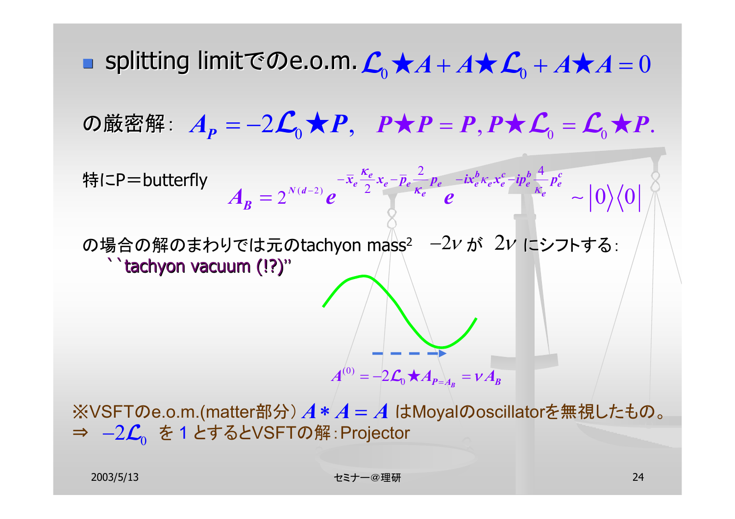П ■ splitting limitでのe.o.m.  $\mathcal{L}_0^{\bullet}$ ★ $A + A \star \mathcal{L}_0^{\bullet} + A \star A = 0$ の厳密解:  $A_{\bm{P}} = -2 \boldsymbol{\mathcal{L}}_0 \bigstar \boldsymbol{P}, \ \ \boldsymbol{P} \bigstar \boldsymbol{P} = \boldsymbol{P}, \boldsymbol{P} \bigstar \boldsymbol{\mathcal{L}}_0 = \boldsymbol{\mathcal{L}}_0 \bigstar \boldsymbol{P}.$ 特にP=butterfly の場合の解のまわりでは元のtachyon mass $^2$   $\,$   $-2\nu$  が  $\,2\nu$  にシフトする: ``tachyon vacuum (!?) ``tachyon vacuum (!?)''  $(d-2)$ 2  $\cdot$   $\cdot$   $\cdot$   $\cdot$   $\cdot$   $\cdot$   $\frac{4}{3}$  $2^{N(d-2)}$   $e^{i2\pi k}$   $k_e$   $e^{i\pi k}$   $e^{i\pi k}$   $\sim |0\rangle\langle0$  $e^{i\theta}$  **c**  $\overline{a}$  **c**  $\overline{b}$  **c**  $\overline{c}$  **c**  $\overline{c}$  **c**  $\overline{c}$  **c**  $\overline{c}$ *e e e e e e e e e e e*  $\overline{x}_e \frac{e}{\lambda} x_e - \overline{p}_e$   $\overline{p}_e$   $\overline{p}_e$   $\overline{p}_e$   $\overline{p}_e$   $\overline{p}_e$   $\overline{p}_e$   $\overline{p}_e$   $\overline{p}_e$   $\overline{p}_e$  $A_{\mathbf{B}} = 2^{N(d-2)} \mathbf{e}$   $\overline{B} = \mathbf{e}$ κ  $-2$   $2 \leq K$  $-\lambda_a - \lambda_a - \mu_a = -\mu_a - \lambda_a \lambda_a$  $=$  ∠  $e$   $e$   $e$   $e$   $\sim$  $\kappa_e \chi_e - \iota p_e = \frac{1}{\kappa}$ ※VSFTのe.o.m.(matter部分)  $A*A$  =  $A$  はMoyalのoscillatorを無視したもの。 (0)  $A^{(0)} = -2\mathcal{L}_0 \bigstar A_{P=\lambda_B} = v A_B$ 

**⇒ —2** $\mathcal{L}^{\,}_{0}$  **を 1 とするとVSFTの解 : Projector**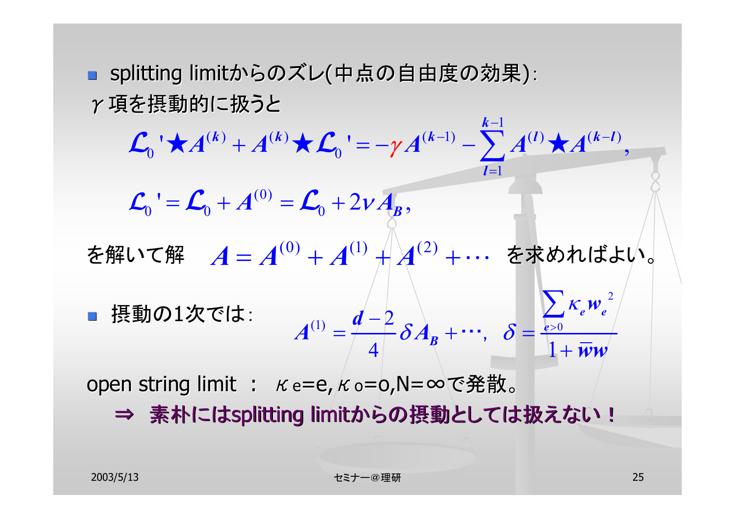■ splitting limitからのズレ(中点の自由度の効果): γ項を摂動的に扱うと  $\begin{array}{ccccc} (k) & A(k) & A(k-1) & \end{array}$  (k-1)  $\begin{array}{ccccc} k-1 & A(l) & A(k-l) \end{array}$ 

を解いて解  $\quad \boldsymbol{A} = \boldsymbol{A}^{(0)} + \boldsymbol{A}^{(1)} + \hspace*{-1.15cm} \boldsymbol{A}^{(2)} + \cdots$  を求めればよい。  $\mathcal{L}$  摂動の1次では: open string limit :  $\kappa$  e=e,  $\kappa$  o=o,N=∞で発散。  $0$   $\sim$   $\sim$   $0$ 1(0)  $\begin{array}{ccc} 0 & \bullet & 0 & 0 \\ 0 & 0 & 0 & 0 \\ 0 & 0 & 0 & 0 \\ 0 & 0 & 0 & 0 \\ 0 & 0 & 0 & 0 \\ 0 & 0 & 0 & 0 \\ 0 & 0 & 0 & 0 \\ 0 & 0 & 0 & 0 \\ 0 & 0 & 0 & 0 \\ 0 & 0 & 0 & 0 \\ 0 & 0 & 0 & 0 & 0 \\ 0 & 0 & 0 & 0 & 0 \\ 0 & 0 & 0 & 0 & 0 \\ 0 & 0 & 0 & 0 & 0 & 0 \\ 0 & 0 & 0 & 0 & 0 & 0 \\ 0 & 0 & 0 & 0 &$  $\mathcal{A}^{(k)}+A^{(k)}\times \mathcal{L}_{0}^{-1}=-\gamma A^{(k-1)}-\sum A^{(k)}\times A^{(k-1)},$  $\mathcal{L}_0$ <sup> $\cdot$ </sup> =  $\mathcal{L}_0$  +  $A^{(0)}$  =  $\mathcal{L}_0$  + 2 $vA_B$ ,  $A^{(k)} + A^{(k)} \star C_0' = -\gamma A^{(k-1)} - \sum_{k=1}^{k-1} A^{(l)} \star A^{(k-l)}$ *l* $+ A^{(n)} \times L_{0} = - \gamma A^{(n-1)} - \sum A^{(i)} \times A^{(n-1)}$ = $\mathcal{L}_0$  **\**  $\star$   $A^{(k)}$   $+$   $A^{(k)}$   $\star$   $\mathcal{L}_0$  **'** =  $-\gamma A^{(k-1)}$   $\sum A^{(l)}$   $\star$ 2 (1)  $d-2$   $s$  1 1  $s$   $s$   $s$   $s$  $4$   $\sim$  1 *e e*  $\delta = \frac{e}{\theta}$  $d-2$   $\qquad \qquad \frac{Z}{c}K_eW$  $A^{(1)} = \frac{1}{\sqrt{4}} \delta A_B + \cdots, \quad \delta = \frac{e^{50}}{1 + \bar{w}w}$  $=\frac{u-\epsilon}{\delta A_{p}+\cdots}, \delta=\frac{e}{\epsilon}$  $\, + \,$ ∑ …, κ

−

⇒ 素朴にはsplitting limitからの摂動としては扱えない!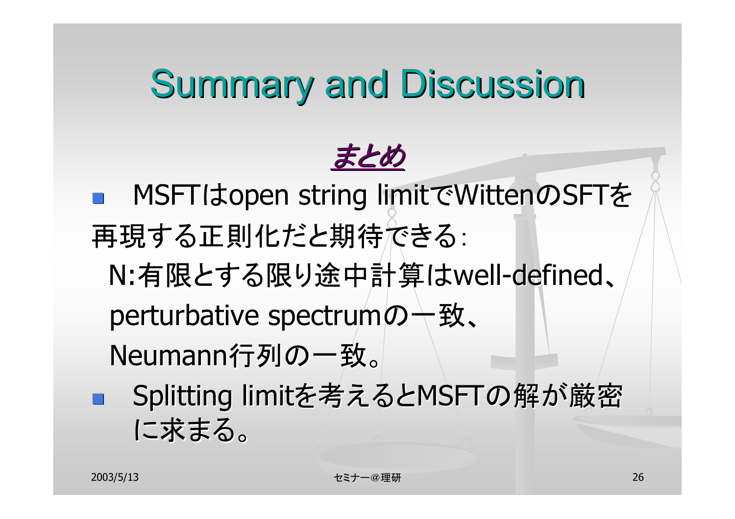# **Summary and Discussion**



MSFTはopen string limitでWittenのSFTを 再現する正則化だと期待できる: N:有限とする限り途中計算は well-defined、 perturbative spectrumの一致、 Neumann行列の一致。 Splitting limitを考えるとMSFTの解が厳密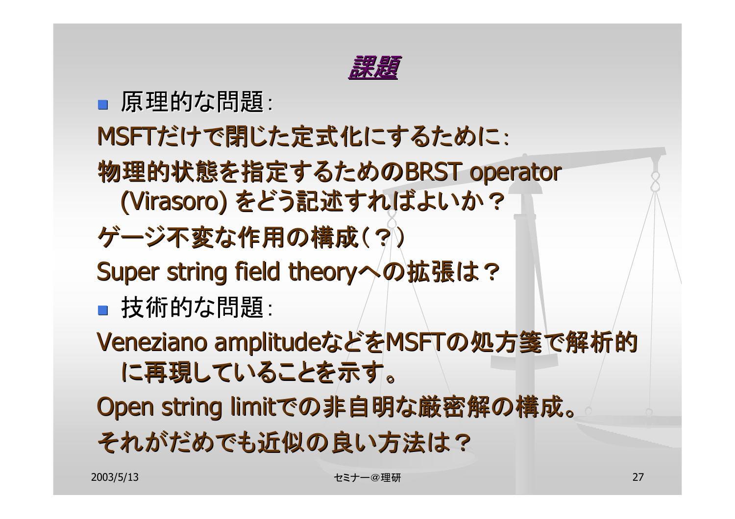

#### ■ 原理的な問題:

### MSFTだけで閉じた定式化にするために:

- 物理的状態を指定するためのBRST operator (Virasoro) をどう記述すればよいか?
- ゲージ不変な作用の構成(?) ゲージ不変な作用の構成(?)
- Super string field theoryへの拡張は?
- 技術的な問題:
- Veneziano amplitudeなどをMSFTの処方箋で解析的 に再現していることを示す。
- Open string limitでの非自明な厳密解の構成。 それがだめでも近似の良い方法は?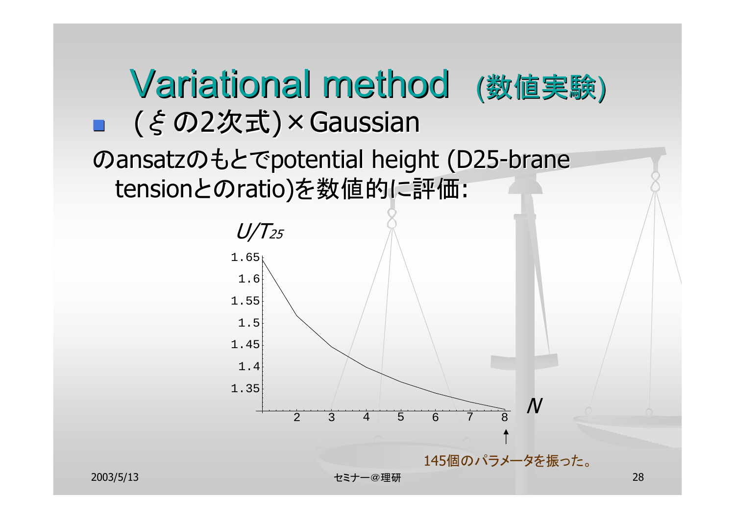

2003/5/13 セミナー@理研 28

145個のパラメータを振った。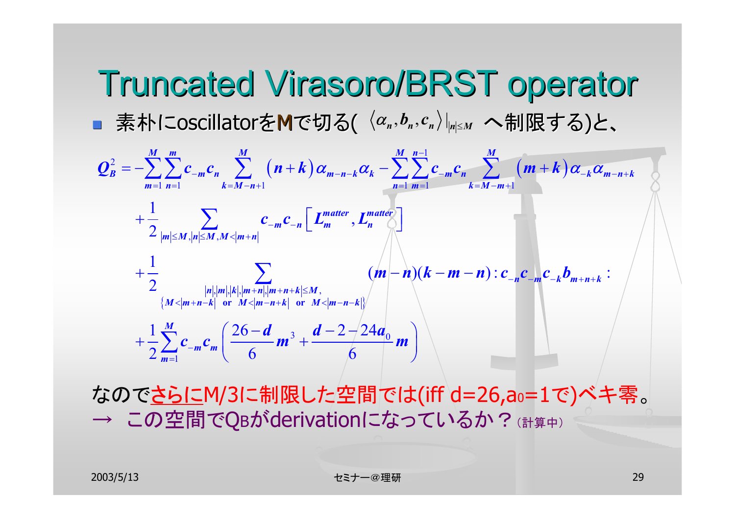Truncated Truncated Virasoro Virasoro/BRST operator /BRST operator ■ 素朴にoscillatorをMで切る(  $\langle \alpha_{\scriptscriptstyle n}, b_{\scriptscriptstyle n}, c_{\scriptscriptstyle n} \rangle |_{\scriptscriptstyle \sf m| \le M}$  へ制限する)と、  $(n+k)\alpha_{m-n-k}\alpha_k - \sum_{m}c_{m-n-k}\alpha_{n}$  (m + k) 2  $\sum_{i=1}^{M} \sum_{i=1}^{m} (x_i, t_i) \alpha_i \in \sum_{i=1}^{M} \sum_{i=1}^{n-1}$  $1 \; n=1 \qquad \qquad k=M-n+1 \qquad \qquad n=1 \; m=1 \qquad \qquad k=M-m+1$ , , , , , , , 1  $2 \frac{1}{|m| \leq M} \frac{1}{|n| \leq M} \frac{1}{M \leq |m+n|}$ 1 $\frac{1}{2}$   $(m-n)(k-m-n): c_{-n}c_{-m}c_{-k}b_{m+n+k}:$  $n|n|, |m|, |k|, |m+n|, |m+n+k| \le M$  $\{M < |m+n-k| \text{ or } M < |m-n+k| \text{ or } M < |m-n-k|\}$ *M m M M M M M M M M*  $B$   $\leq$   $\leq$   $\leq$   $\cdots$   $n$   $\leq$   $\leq$   $\cdots$   $\leq$   $\cdots$   $\leq$   $\cdots$   $\leq$   $\cdots$   $\leq$   $\cdots$   $\cdots$   $\cdots$   $\cdots$   $\cdots$   $\cdots$   $\cdots$   $\cdots$   $\cdots$   $\cdots$   $\cdots$   $\cdots$   $\cdots$   $\cdots$   $\cdots$   $\cdots$   $\cdots$   $\cdots$   $\cdots$   $\cdots$   $\cdots$   $\cd$ *m*=1 *n*=1 *k*=*M* -*n*+1 *n*=1 *n*=1 *k*=*M* -*m matter matter m*  $- n 1 - m 7 - n$  $m|{\leq}M$  ,  $n|{\leq}M$  ,  $M$  <  $|m+n$  $\bm{m}(-\bm{n})(\bm{k}-\bm{m}-\bm{n}): \bm{c}_{-\bm{n}}\bm{c}_{-\bm{m}}\bm{c}_{-\bm{k}}\bm{b}_{\bm{m}+\bm{n}+\bm{k}}$  $Q_R^2 = -\sum_{k=1}^{n} C_{2m} c_n$ ,  $\sum_{k=1}^{n} (n+k) \alpha_{m-n-k} \alpha_k - \sum_{k=1}^{n} C_{2m} c_n$ ,  $\sum_{k=1}^{n} (m+k) \alpha_{2k} \alpha_k$  $c_{-m}c_{-n} \mid L_m^{mauer}, L_m^m$ −  $- m n$   $\sum$   $(\cdots)$   $\cdots$   $\cdots$   $\cdots$   $\cdots$   $\cdots$   $\cdots$   $\cdots$   $\cdots$   $\cdots$   $\cdots$   $\cdots$   $\cdots$   $\cdots$   $\cdots$   $\cdots$   $\cdots$   $\cdots$   $\cdots$   $\cdots$   $\cdots$   $\cdots$   $\cdots$   $\cdots$   $\cdots$   $\cdots$   $\cdots$   $\cdots$   $\cdots$   $\cdots$   $\cdots$   $\cdots$   $\cdots$   $\cdots$   $\cdots$  $=$   $n=$   $k=M-n+1$   $n=$   $n=$   $k=M-m+1$  $\leq$ M, $|n|\leq$ M, $M$ < $|m+$  $=-\sum_{n} \sum_{m} c_{n} \sum_{n} (n+k) \alpha_{m-n-k} \alpha_{k} - \sum_{n} \sum_{m} c_{n} \sum_{n} (m+k) \alpha_{m-n-k} \alpha_{n}$ + $\frac{1}{2}$   $\sum_{m}$   $\mathcal{C}_{-m}$   $\left[$   $\boldsymbol{L}_{m}^{matter}, \boldsymbol{L}_{n}^{matter} \right]$  $+\frac{1}{2}$   $(m-n)(k-m-$ 3  $u \sim 2 \pi u_0$ 1 $1 \sum_{1}^{M}$  (26 - d), d - 2 - 24  $2 m^{-1}$  6 6 *M m m md d*  $-2-24a$  $c_{-m}c_{m}$  –  $m^{2}$  + –  $m^{2}$  *m*  $+\frac{1}{2}\sum_{m=1}^{M}c_{-m}c_{m}\left(\frac{26-d}{6}m^{3}+\frac{d-2-24a_{0}}{6}m\right)$ ∑

なのでさらにM/3に制限した空間では(iff d=26,ao=1で)ベキ零。 → この空間でQBがderivationになっているか?(計算中)